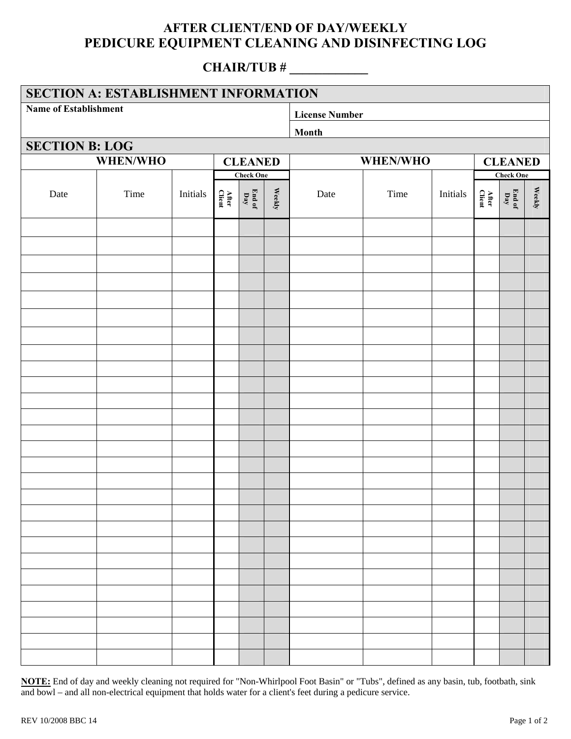## **AFTER CLIENT/END OF DAY/WEEKLY PEDICURE EQUIPMENT CLEANING AND DISINFECTING LOG**

#### **CHAIR/TUB # \_\_\_\_\_\_\_\_\_\_\_\_**

| <b>SECTION A: ESTABLISHMENT INFORMATION</b> |      |          |                  |                                                     |                   |                       |                |          |                       |               |        |  |  |
|---------------------------------------------|------|----------|------------------|-----------------------------------------------------|-------------------|-----------------------|----------------|----------|-----------------------|---------------|--------|--|--|
| Name of Establishment                       |      |          |                  |                                                     |                   | <b>License Number</b> |                |          |                       |               |        |  |  |
|                                             |      | Month    |                  |                                                     |                   |                       |                |          |                       |               |        |  |  |
| <b>SECTION B: LOG</b>                       |      |          |                  |                                                     |                   |                       |                |          |                       |               |        |  |  |
| <b>WHEN/WHO</b>                             |      |          | <b>CLEANED</b>   |                                                     |                   | <b>WHEN/WHO</b>       | <b>CLEANED</b> |          |                       |               |        |  |  |
|                                             |      |          | <b>Check One</b> |                                                     |                   |                       |                |          | <b>Check One</b>      |               |        |  |  |
| Date                                        | Time | Initials | After<br>Client  | $\mathop{\rm End}\nolimits\mathop{\rm of}\nolimits$ | $\mathbf{Weekly}$ | Date                  | Time           | Initials | After $\hbox{Cident}$ | End of<br>Day | Weekly |  |  |
|                                             |      |          |                  |                                                     |                   |                       |                |          |                       |               |        |  |  |
|                                             |      |          |                  |                                                     |                   |                       |                |          |                       |               |        |  |  |
|                                             |      |          |                  |                                                     |                   |                       |                |          |                       |               |        |  |  |
|                                             |      |          |                  |                                                     |                   |                       |                |          |                       |               |        |  |  |
|                                             |      |          |                  |                                                     |                   |                       |                |          |                       |               |        |  |  |
|                                             |      |          |                  |                                                     |                   |                       |                |          |                       |               |        |  |  |
|                                             |      |          |                  |                                                     |                   |                       |                |          |                       |               |        |  |  |
|                                             |      |          |                  |                                                     |                   |                       |                |          |                       |               |        |  |  |
|                                             |      |          |                  |                                                     |                   |                       |                |          |                       |               |        |  |  |
|                                             |      |          |                  |                                                     |                   |                       |                |          |                       |               |        |  |  |
|                                             |      |          |                  |                                                     |                   |                       |                |          |                       |               |        |  |  |
|                                             |      |          |                  |                                                     |                   |                       |                |          |                       |               |        |  |  |
|                                             |      |          |                  |                                                     |                   |                       |                |          |                       |               |        |  |  |
|                                             |      |          |                  |                                                     |                   |                       |                |          |                       |               |        |  |  |
|                                             |      |          |                  |                                                     |                   |                       |                |          |                       |               |        |  |  |
|                                             |      |          |                  |                                                     |                   |                       |                |          |                       |               |        |  |  |
|                                             |      |          |                  |                                                     |                   |                       |                |          |                       |               |        |  |  |
|                                             |      |          |                  |                                                     |                   |                       |                |          |                       |               |        |  |  |
|                                             |      |          |                  |                                                     |                   |                       |                |          |                       |               |        |  |  |
|                                             |      |          |                  |                                                     |                   |                       |                |          |                       |               |        |  |  |
|                                             |      |          |                  |                                                     |                   |                       |                |          |                       |               |        |  |  |
|                                             |      |          |                  |                                                     |                   |                       |                |          |                       |               |        |  |  |
|                                             |      |          |                  |                                                     |                   |                       |                |          |                       |               |        |  |  |
|                                             |      |          |                  |                                                     |                   |                       |                |          |                       |               |        |  |  |

**NOTE:** End of day and weekly cleaning not required for "Non-Whirlpool Foot Basin" or "Tubs", defined as any basin, tub, footbath, sink and bowl – and all non-electrical equipment that holds water for a client's feet during a pedicure service.